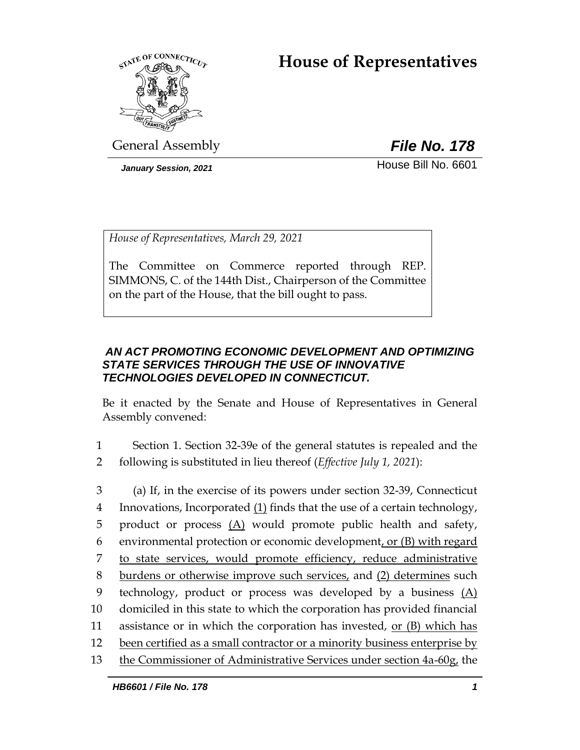# **House of Representatives**



General Assembly *File No. 178*

*January Session, 2021* **House Bill No. 6601** 

*House of Representatives, March 29, 2021*

The Committee on Commerce reported through REP. SIMMONS, C. of the 144th Dist., Chairperson of the Committee on the part of the House, that the bill ought to pass.

### *AN ACT PROMOTING ECONOMIC DEVELOPMENT AND OPTIMIZING STATE SERVICES THROUGH THE USE OF INNOVATIVE TECHNOLOGIES DEVELOPED IN CONNECTICUT.*

Be it enacted by the Senate and House of Representatives in General Assembly convened:

- 1 Section 1. Section 32-39e of the general statutes is repealed and the 2 following is substituted in lieu thereof (*Effective July 1, 2021*):
- 3 (a) If, in the exercise of its powers under section 32-39, Connecticut 4 Innovations, Incorporated (1) finds that the use of a certain technology, 5 product or process  $(A)$  would promote public health and safety, 6 environmental protection or economic development, or  $(B)$  with regard 7 to state services, would promote efficiency, reduce administrative 8 burdens or otherwise improve such services, and (2) determines such 9 technology, product or process was developed by a business (A) 10 domiciled in this state to which the corporation has provided financial 11 assistance or in which the corporation has invested, or (B) which has 12 been certified as a small contractor or a minority business enterprise by 13 the Commissioner of Administrative Services under section 4a-60g, the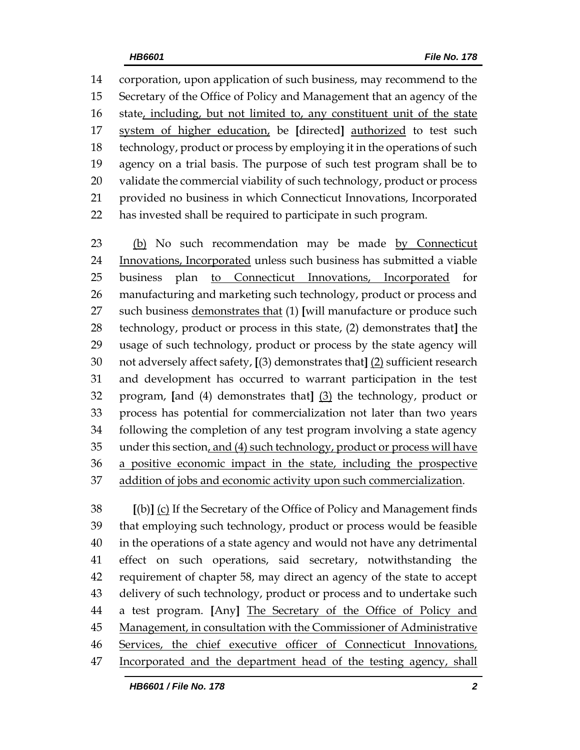corporation, upon application of such business, may recommend to the Secretary of the Office of Policy and Management that an agency of the 16 state, including, but not limited to, any constituent unit of the state system of higher education, be **[**directed**]** authorized to test such technology, product or process by employing it in the operations of such agency on a trial basis. The purpose of such test program shall be to validate the commercial viability of such technology, product or process provided no business in which Connecticut Innovations, Incorporated has invested shall be required to participate in such program.

23 (b) No such recommendation may be made by Connecticut Innovations, Incorporated unless such business has submitted a viable business plan to Connecticut Innovations, Incorporated for manufacturing and marketing such technology, product or process and such business demonstrates that (1) **[**will manufacture or produce such technology, product or process in this state, (2) demonstrates that**]** the usage of such technology, product or process by the state agency will not adversely affect safety, **[**(3) demonstrates that**]** (2) sufficient research and development has occurred to warrant participation in the test program, **[**and (4) demonstrates that**]** (3) the technology, product or process has potential for commercialization not later than two years following the completion of any test program involving a state agency under this section, and (4) such technology, product or process will have a positive economic impact in the state, including the prospective addition of jobs and economic activity upon such commercialization.

 **[**(b)**]** (c) If the Secretary of the Office of Policy and Management finds that employing such technology, product or process would be feasible in the operations of a state agency and would not have any detrimental effect on such operations, said secretary, notwithstanding the requirement of chapter 58, may direct an agency of the state to accept delivery of such technology, product or process and to undertake such a test program. **[**Any**]** The Secretary of the Office of Policy and 45 Management, in consultation with the Commissioner of Administrative Services, the chief executive officer of Connecticut Innovations, Incorporated and the department head of the testing agency, shall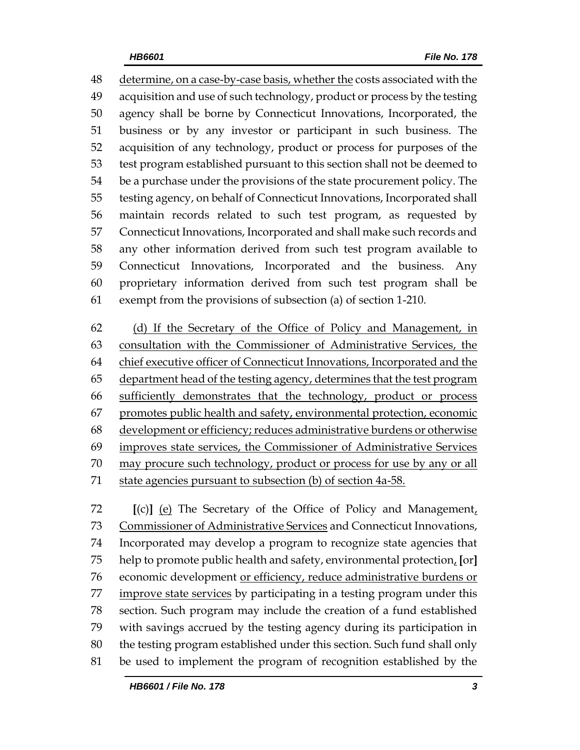determine, on a case-by-case basis, whether the costs associated with the acquisition and use of such technology, product or process by the testing agency shall be borne by Connecticut Innovations, Incorporated, the business or by any investor or participant in such business. The acquisition of any technology, product or process for purposes of the test program established pursuant to this section shall not be deemed to be a purchase under the provisions of the state procurement policy. The testing agency, on behalf of Connecticut Innovations, Incorporated shall maintain records related to such test program, as requested by Connecticut Innovations, Incorporated and shall make such records and any other information derived from such test program available to Connecticut Innovations, Incorporated and the business. Any proprietary information derived from such test program shall be exempt from the provisions of subsection (a) of section 1-210.

 (d) If the Secretary of the Office of Policy and Management, in consultation with the Commissioner of Administrative Services, the 64 chief executive officer of Connecticut Innovations, Incorporated and the 65 department head of the testing agency, determines that the test program sufficiently demonstrates that the technology, product or process promotes public health and safety, environmental protection, economic development or efficiency; reduces administrative burdens or otherwise improves state services, the Commissioner of Administrative Services may procure such technology, product or process for use by any or all state agencies pursuant to subsection (b) of section 4a-58.

 **[**(c)**]** (e) The Secretary of the Office of Policy and Management, Commissioner of Administrative Services and Connecticut Innovations, Incorporated may develop a program to recognize state agencies that help to promote public health and safety, environmental protection, **[**or**]** economic development or efficiency, reduce administrative burdens or improve state services by participating in a testing program under this section. Such program may include the creation of a fund established with savings accrued by the testing agency during its participation in the testing program established under this section. Such fund shall only be used to implement the program of recognition established by the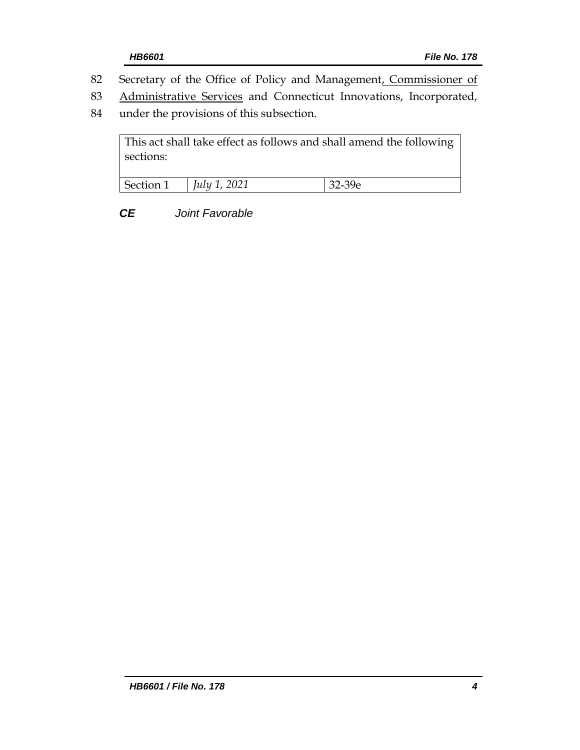- 82 Secretary of the Office of Policy and Management, Commissioner of
- 83 Administrative Services and Connecticut Innovations, Incorporated,
- 84 under the provisions of this subsection.

This act shall take effect as follows and shall amend the following sections: Section 1 *July 1, 2021* 32-39e

*CE Joint Favorable*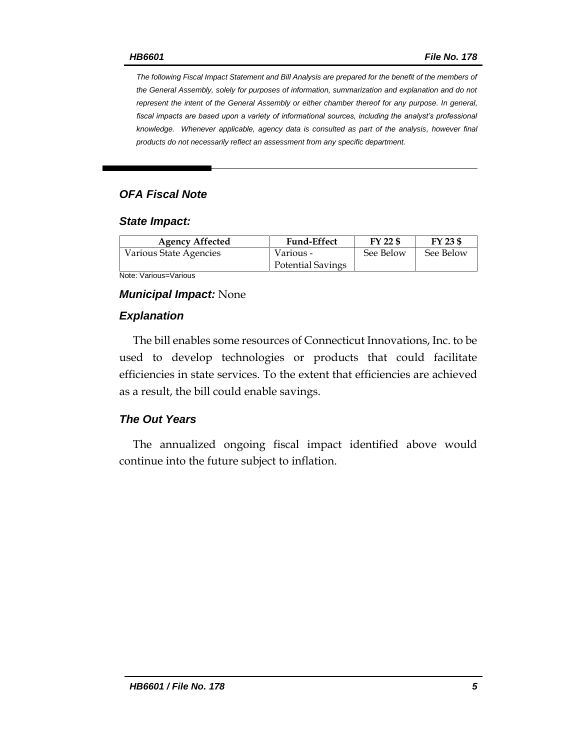*The following Fiscal Impact Statement and Bill Analysis are prepared for the benefit of the members of the General Assembly, solely for purposes of information, summarization and explanation and do not represent the intent of the General Assembly or either chamber thereof for any purpose. In general,*  fiscal impacts are based upon a variety of informational sources, including the analyst's professional *knowledge. Whenever applicable, agency data is consulted as part of the analysis, however final products do not necessarily reflect an assessment from any specific department.*

### *OFA Fiscal Note*

#### *State Impact:*

| <b>Agency Affected</b> | <b>Fund-Effect</b>       | FY 22 \$  | FY 23 \$  |
|------------------------|--------------------------|-----------|-----------|
| Various State Agencies | Various -                | See Below | See Below |
|                        | <b>Potential Savings</b> |           |           |

Note: Various=Various

#### *Municipal Impact:* None

#### *Explanation*

The bill enables some resources of Connecticut Innovations, Inc. to be used to develop technologies or products that could facilitate efficiencies in state services. To the extent that efficiencies are achieved as a result, the bill could enable savings.

#### *The Out Years*

The annualized ongoing fiscal impact identified above would continue into the future subject to inflation.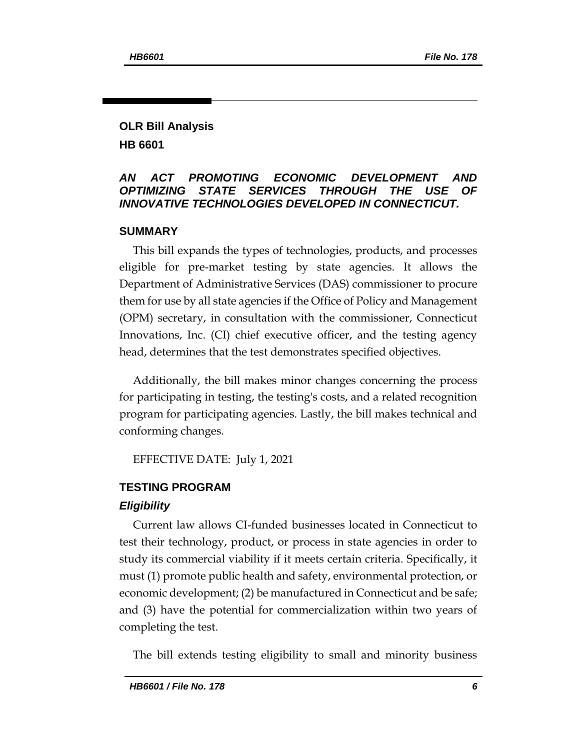#### **OLR Bill Analysis HB 6601**

#### *AN ACT PROMOTING ECONOMIC DEVELOPMENT AND OPTIMIZING STATE SERVICES THROUGH THE USE OF INNOVATIVE TECHNOLOGIES DEVELOPED IN CONNECTICUT.*

#### **SUMMARY**

This bill expands the types of technologies, products, and processes eligible for pre-market testing by state agencies. It allows the Department of Administrative Services (DAS) commissioner to procure them for use by all state agencies if the Office of Policy and Management (OPM) secretary, in consultation with the commissioner, Connecticut Innovations, Inc. (CI) chief executive officer, and the testing agency head, determines that the test demonstrates specified objectives.

Additionally, the bill makes minor changes concerning the process for participating in testing, the testing's costs, and a related recognition program for participating agencies. Lastly, the bill makes technical and conforming changes.

EFFECTIVE DATE: July 1, 2021

#### **TESTING PROGRAM**

#### *Eligibility*

Current law allows CI-funded businesses located in Connecticut to test their technology, product, or process in state agencies in order to study its commercial viability if it meets certain criteria. Specifically, it must (1) promote public health and safety, environmental protection, or economic development; (2) be manufactured in Connecticut and be safe; and (3) have the potential for commercialization within two years of completing the test.

The bill extends testing eligibility to small and minority business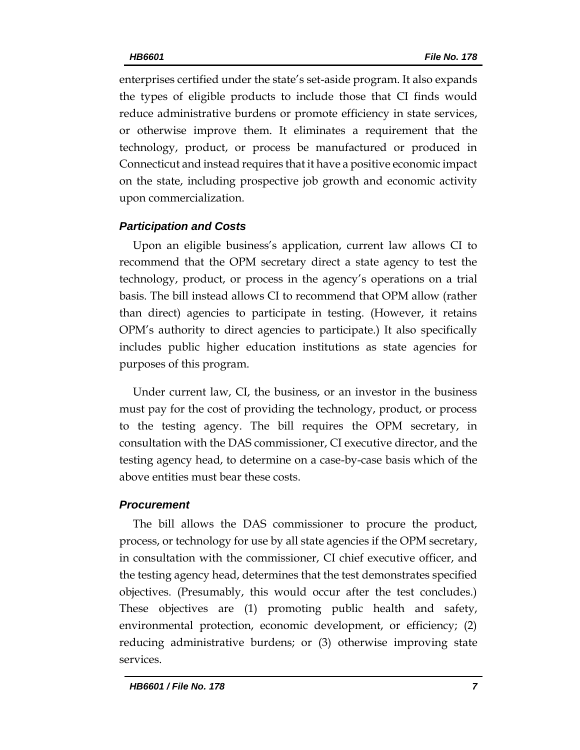enterprises certified under the state's set-aside program. It also expands the types of eligible products to include those that CI finds would reduce administrative burdens or promote efficiency in state services, or otherwise improve them. It eliminates a requirement that the technology, product, or process be manufactured or produced in Connecticut and instead requires that it have a positive economic impact on the state, including prospective job growth and economic activity upon commercialization.

## *Participation and Costs*

Upon an eligible business's application, current law allows CI to recommend that the OPM secretary direct a state agency to test the technology, product, or process in the agency's operations on a trial basis. The bill instead allows CI to recommend that OPM allow (rather than direct) agencies to participate in testing. (However, it retains OPM's authority to direct agencies to participate.) It also specifically includes public higher education institutions as state agencies for purposes of this program.

Under current law, CI, the business, or an investor in the business must pay for the cost of providing the technology, product, or process to the testing agency. The bill requires the OPM secretary, in consultation with the DAS commissioner, CI executive director, and the testing agency head, to determine on a case-by-case basis which of the above entities must bear these costs.

### *Procurement*

The bill allows the DAS commissioner to procure the product, process, or technology for use by all state agencies if the OPM secretary, in consultation with the commissioner, CI chief executive officer, and the testing agency head, determines that the test demonstrates specified objectives. (Presumably, this would occur after the test concludes.) These objectives are (1) promoting public health and safety, environmental protection, economic development, or efficiency; (2) reducing administrative burdens; or (3) otherwise improving state services.